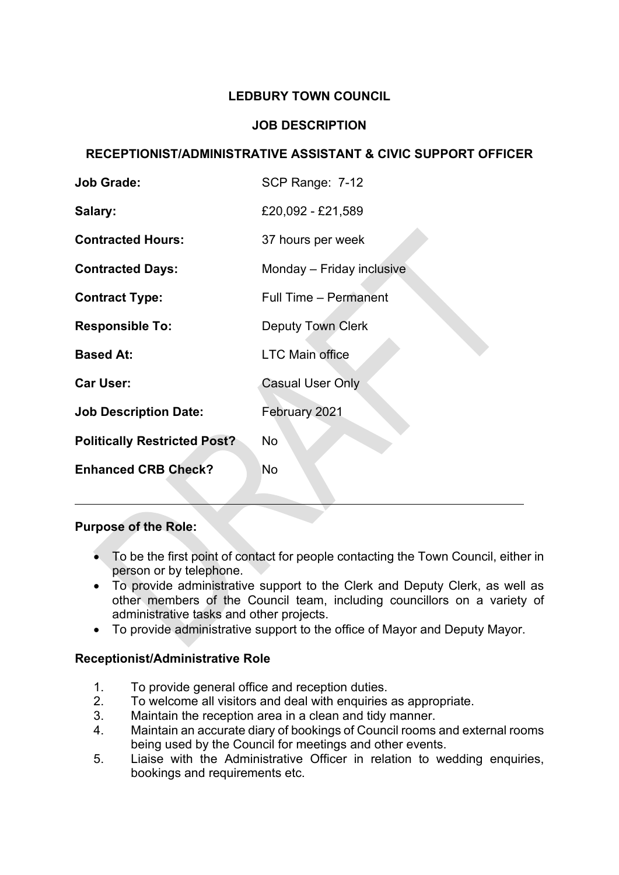## **LEDBURY TOWN COUNCIL**

# **JOB DESCRIPTION**

## **RECEPTIONIST/ADMINISTRATIVE ASSISTANT & CIVIC SUPPORT OFFICER**

| <b>Job Grade:</b>                   | SCP Range: 7-12              |  |  |
|-------------------------------------|------------------------------|--|--|
| Salary:                             | £20,092 - £21,589            |  |  |
| <b>Contracted Hours:</b>            | 37 hours per week            |  |  |
| <b>Contracted Days:</b>             | Monday – Friday inclusive    |  |  |
| <b>Contract Type:</b>               | <b>Full Time – Permanent</b> |  |  |
| <b>Responsible To:</b>              | <b>Deputy Town Clerk</b>     |  |  |
| <b>Based At:</b>                    | <b>LTC Main office</b>       |  |  |
| <b>Car User:</b>                    | <b>Casual User Only</b>      |  |  |
| <b>Job Description Date:</b>        | February 2021                |  |  |
| <b>Politically Restricted Post?</b> | No                           |  |  |
| <b>Enhanced CRB Check?</b>          | No                           |  |  |
|                                     |                              |  |  |

#### **Purpose of the Role:**

- To be the first point of contact for people contacting the Town Council, either in person or by telephone.
- To provide administrative support to the Clerk and Deputy Clerk, as well as other members of the Council team, including councillors on a variety of administrative tasks and other projects.
- To provide administrative support to the office of Mayor and Deputy Mayor.

## **Receptionist/Administrative Role**

- 1. To provide general office and reception duties.
- 2. To welcome all visitors and deal with enquiries as appropriate.
- 3. Maintain the reception area in a clean and tidy manner.
- 4. Maintain an accurate diary of bookings of Council rooms and external rooms being used by the Council for meetings and other events.
- 5. Liaise with the Administrative Officer in relation to wedding enquiries, bookings and requirements etc.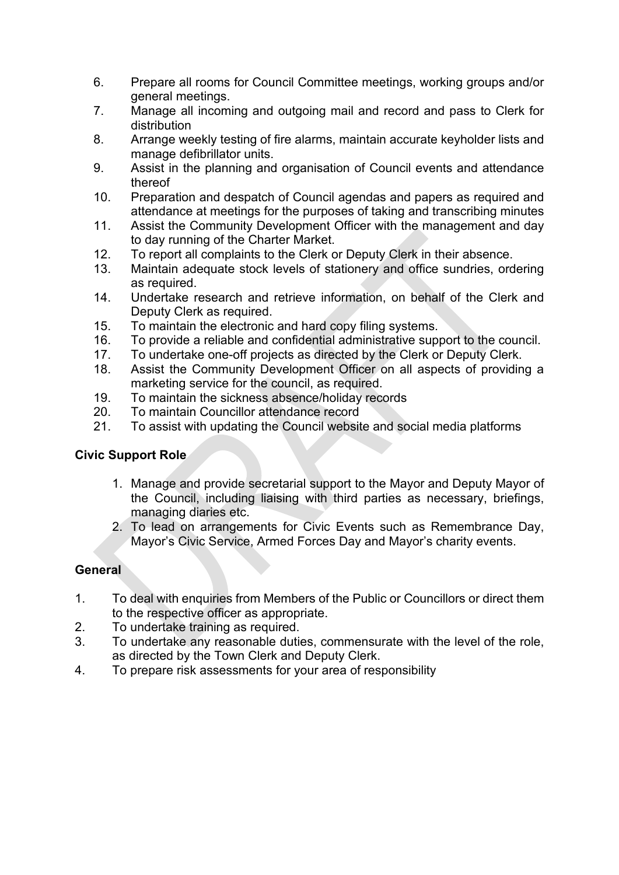- 6. Prepare all rooms for Council Committee meetings, working groups and/or general meetings.
- 7. Manage all incoming and outgoing mail and record and pass to Clerk for distribution
- 8. Arrange weekly testing of fire alarms, maintain accurate keyholder lists and manage defibrillator units.
- 9. Assist in the planning and organisation of Council events and attendance thereof
- 10. Preparation and despatch of Council agendas and papers as required and attendance at meetings for the purposes of taking and transcribing minutes
- 11. Assist the Community Development Officer with the management and day to day running of the Charter Market.
- 12. To report all complaints to the Clerk or Deputy Clerk in their absence.<br>13. Maintain adequate stock levels of stationery and office sundries, ord
- Maintain adequate stock levels of stationery and office sundries, ordering as required.
- 14. Undertake research and retrieve information, on behalf of the Clerk and Deputy Clerk as required.
- 15. To maintain the electronic and hard copy filing systems.
- 16. To provide a reliable and confidential administrative support to the council.
- 17. To undertake one-off projects as directed by the Clerk or Deputy Clerk.
- 18. Assist the Community Development Officer on all aspects of providing a marketing service for the council, as required.
- 19. To maintain the sickness absence/holiday records
- 20. To maintain Councillor attendance record
- 21. To assist with updating the Council website and social media platforms

## **Civic Support Role**

- 1. Manage and provide secretarial support to the Mayor and Deputy Mayor of the Council, including liaising with third parties as necessary, briefings, managing diaries etc.
- 2. To lead on arrangements for Civic Events such as Remembrance Day, Mayor's Civic Service, Armed Forces Day and Mayor's charity events.

## **General**

- 1. To deal with enquiries from Members of the Public or Councillors or direct them to the respective officer as appropriate.
- 2. To undertake training as required.
- 3. To undertake any reasonable duties, commensurate with the level of the role, as directed by the Town Clerk and Deputy Clerk.
- 4. To prepare risk assessments for your area of responsibility